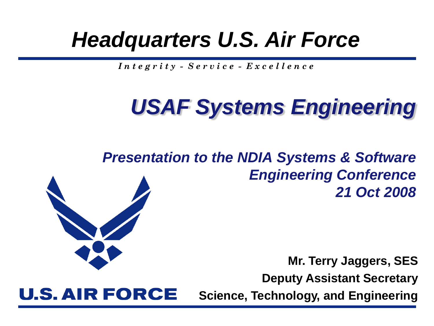## *Headquarters U.S. Air Force*

*I n t e g r i t y - S e r v i c e - E x c e l l e n c e*

## *USAF Systems Engineering*

*Presentation to the NDIA Systems & Software Engineering Conference 21 Oct 2008*

> **Mr. Terry Jaggers, SES Deputy Assistant Secretary**

**U.S. AIR FORCE** 

**Science, Technology, and Engineering**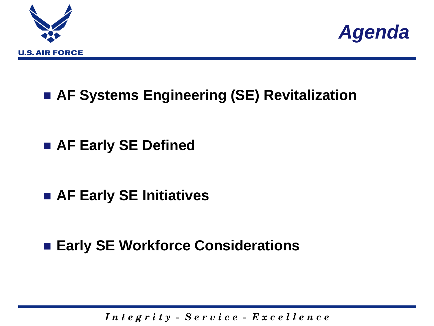



### **AF Systems Engineering (SE) Revitalization**

### **AF Early SE Defined**

### **AF Early SE Initiatives**

### ■ Early SE Workforce Considerations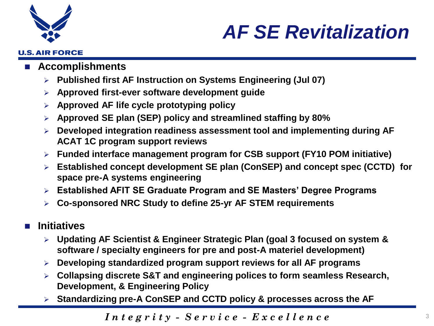

**U.S. AIR FORCE** 

### *AF SE Revitalization*

#### **Accomplishments**

- **Published first AF Instruction on Systems Engineering (Jul 07)**
- **Approved first-ever software development guide**
- **Approved AF life cycle prototyping policy**
- **Approved SE plan (SEP) policy and streamlined staffing by 80%**
- **Developed integration readiness assessment tool and implementing during AF ACAT 1C program support reviews**
- **Funded interface management program for CSB support (FY10 POM initiative)**
- **Established concept development SE plan (ConSEP) and concept spec (CCTD) for space pre-A systems engineering**
- **Established AFIT SE Graduate Program and SE Masters' Degree Programs**
- **Co-sponsored NRC Study to define 25-yr AF STEM requirements**

#### **Initiatives**

- **Updating AF Scientist & Engineer Strategic Plan (goal 3 focused on system & software / specialty engineers for pre and post-A materiel development)**
- **Developing standardized program support reviews for all AF programs**
- **Collapsing discrete S&T and engineering polices to form seamless Research, Development, & Engineering Policy**
- **Standardizing pre-A ConSEP and CCTD policy & processes across the AF**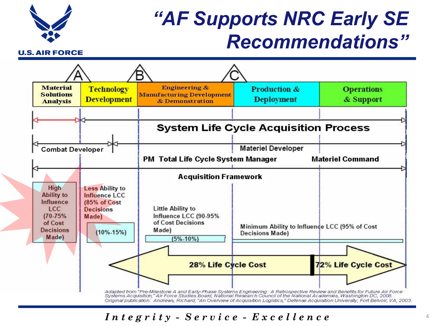

### *"AF Supports NRC Early SE Recommendations"*

**U.S. AIR FORCE** 



Original publication: Andrews, Richard, "An Overview of Acquisition Logistics," Defense Acquisition University, Fort Belvoir, VA, 2003.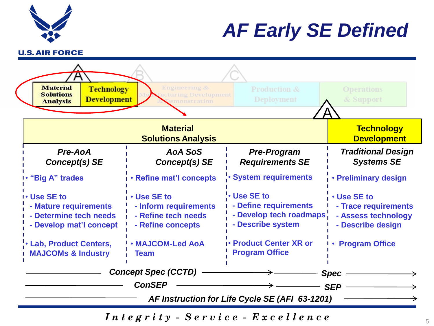

## *AF Early SE Defined*

**U.S. AIR FORCE** 



*Integrity -*  $S$  *ervice -*  $E$  *x c e l l ence*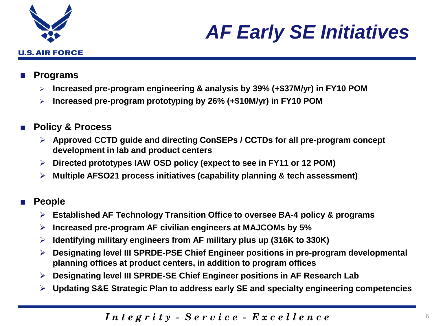

## *AF Early SE Initiatives*

#### **Programs**

- **Increased pre-program engineering & analysis by 39% (+\$37M/yr) in FY10 POM**
- **Increased pre-program prototyping by 26% (+\$10M/yr) in FY10 POM**
- **Policy & Process**
	- **Approved CCTD guide and directing ConSEPs / CCTDs for all pre-program concept development in lab and product centers**
	- **Directed prototypes IAW OSD policy (expect to see in FY11 or 12 POM)**
	- **Multiple AFSO21 process initiatives (capability planning & tech assessment)**

#### ■ **People**

- **Established AF Technology Transition Office to oversee BA-4 policy & programs**
- **Increased pre-program AF civilian engineers at MAJCOMs by 5%**
- **Identifying military engineers from AF military plus up (316K to 330K)**
- **Designating level III SPRDE-PSE Chief Engineer positions in pre-program developmental planning offices at product centers, in addition to program offices**
- **Designating level III SPRDE-SE Chief Engineer positions in AF Research Lab**
- **Updating S&E Strategic Plan to address early SE and specialty engineering competencies**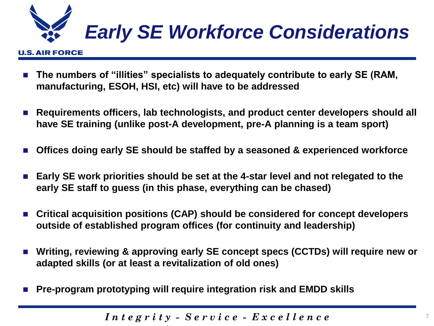

#### **U.S. AIR FORCE**

- **The numbers of "illities" specialists to adequately contribute to early SE (RAM, manufacturing, ESOH, HSI, etc) will have to be addressed**
- **Requirements officers, lab technologists, and product center developers should all have SE training (unlike post-A development, pre-A planning is a team sport)**
- **Offices doing early SE should be staffed by a seasoned & experienced workforce**
- **Early SE work priorities should be set at the 4-star level and not relegated to the early SE staff to guess (in this phase, everything can be chased)**
- Critical acquisition positions (CAP) should be considered for concept developers **outside of established program offices (for continuity and leadership)**
- **Writing, reviewing & approving early SE concept specs (CCTDs) will require new or adapted skills (or at least a revitalization of old ones)**
- Pre-program prototyping will require integration risk and EMDD skills